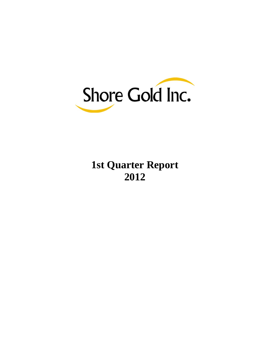

# **1st Quarter Report 2012**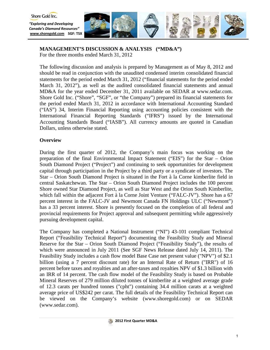

# **MANAGEMENT'S DISCUSSION & ANALYSIS ("MD&A")**

For the three months ended March 31, 2012

The following discussion and analysis is prepared by Management as of May 8, 2012 and should be read in conjunction with the unaudited condensed interim consolidated financial statements for the period ended March 31, 2012 ("financial statements for the period ended March 31, 2012"), as well as the audited consolidated financial statements and annual MD&A for the year ended December 31, 2011 available on SEDAR at [www.sedar.com.](http://www.sedar.com/) Shore Gold Inc. ("Shore", "SGF", or "the Company") prepared its financial statements for the period ended March 31, 2012 in accordance with International Accounting Standard ("IAS") 34, Interim Financial Reporting using accounting policies consistent with the International Financial Reporting Standards ("IFRS") issued by the International Accounting Standards Board ("IASB"). All currency amounts are quoted in Canadian Dollars, unless otherwise stated.

## **Overview**

During the first quarter of 2012, the Company's main focus was working on the preparation of the final Environmental Impact Statement ("EIS") for the Star – Orion South Diamond Project ("Project") and continuing to seek opportunities for development capital through participation in the Project by a third party or a syndicate of investors. The Star – Orion South Diamond Project is situated in the Fort à la Corne kimberlite field in central Saskatchewan. The Star – Orion South Diamond Project includes the 100 percent Shore owned Star Diamond Project, as well as Star West and the Orion South Kimberlite, which fall within the adjacent Fort à la Corne Joint Venture ("FALC-JV"). Shore has a 67 percent interest in the FALC-JV and Newmont Canada FN Holdings ULC ("Newmont") has a 33 percent interest. Shore is presently focused on the completion of all federal and provincial requirements for Project approval and subsequent permitting while aggressively pursuing development capital.

The Company has completed a National Instrument ("NI") 43-101 compliant Technical Report ("Feasibility Technical Report") documenting the Feasibility Study and Mineral Reserve for the Star – Orion South Diamond Project ("Feasibility Study"), the results of which were announced in July 2011 (See SGF News Release dated July 14, 2011). The Feasibility Study includes a cash flow model Base Case net present value ("NPV") of \$2.1 billion (using a 7 percent discount rate) for an Internal Rate of Return ("IRR") of 16 percent before taxes and royalties and an after-taxes and royalties NPV of \$1.3 billion with an IRR of 14 percent. The cash flow model of the Feasibility Study is based on Probable Mineral Reserves of 279 million diluted tonnes of kimberlite at a weighted average grade of 12.3 carats per hundred tonnes ("cpht") containing 34.4 million carats at a weighted average price of US\$242 per carat. The full details of the Feasibility Technical Report can be viewed on the Company's website (www.shoregold.com) or on SEDAR (www.sedar.com).

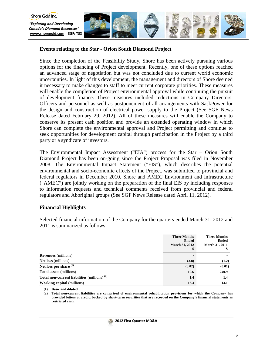

## **Events relating to the Star - Orion South Diamond Project**

Since the completion of the Feasibility Study, Shore has been actively pursuing various options for the financing of Project development. Recently, one of these options reached an advanced stage of negotiation but was not concluded due to current world economic uncertainties. In light of this development, the management and directors of Shore deemed it necessary to make changes to staff to meet current corporate priorities. These measures will enable the completion of Project environmental approval while continuing the pursuit of development finance. These measures included reductions in Company Directors, Officers and personnel as well as postponement of all arrangements with SaskPower for the design and construction of electrical power supply to the Project (See SGF News Release dated February 29, 2012). All of these measures will enable the Company to conserve its present cash position and provide an extended operating window in which Shore can complete the environmental approval and Project permitting and continue to seek opportunities for development capital through participation in the Project by a third party or a syndicate of investors.

The Environmental Impact Assessment ("EIA") process for the Star – Orion South Diamond Project has been on-going since the Project Proposal was filed in November 2008. The Environmental Impact Statement ("EIS"), which describes the potential environmental and socio-economic effects of the Project, was submitted to provincial and federal regulators in December 2010. Shore and AMEC Environment and Infrastructure ("AMEC") are jointly working on the preparation of the final EIS by including responses to information requests and technical comments received from provincial and federal regulators and Aboriginal groups (See SGF News Release dated April 11, 2012).

## **Financial Highlights**

Selected financial information of the Company for the quarters ended March 31, 2012 and 2011 is summarized as follows:

|                                                | <b>Three Months</b><br><b>Ended</b><br><b>March 31, 2012</b><br>\$ | <b>Three Months</b><br>Ended<br><b>March 31, 2011</b> |
|------------------------------------------------|--------------------------------------------------------------------|-------------------------------------------------------|
| <b>Revenues</b> (millions)                     |                                                                    | $\blacksquare$                                        |
| <b>Net loss</b> (millions)                     | (3.8)                                                              | (1.2)                                                 |
| Net loss per share $(1)$                       | (0.02)                                                             | (0.01)                                                |
| <b>Total assets</b> (millions)                 | 19.6                                                               | 240.9                                                 |
| Total non-current liabilities (millions) $(2)$ | 1.4                                                                | $1.4\phantom{0}$                                      |
| <b>Working capital</b> (millions)              | 13.3                                                               | 13.1                                                  |

**(1) Basic and diluted.**

**(2) Total non-current liabilities are comprised of environmental rehabilitation provisions for which the Company has provided letters of credit, backed by short-term securities that are recorded on the Company's financial statements as restricted cash.**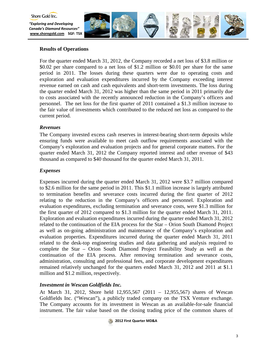

# **Results of Operations**

For the quarter ended March 31, 2012, the Company recorded a net loss of \$3.8 million or \$0.02 per share compared to a net loss of \$1.2 million or \$0.01 per share for the same period in 2011. The losses during these quarters were due to operating costs and exploration and evaluation expenditures incurred by the Company exceeding interest revenue earned on cash and cash equivalents and short-term investments. The loss during the quarter ended March 31, 2012 was higher than the same period in 2011 primarily due to costs associated with the recently announced reduction in the Company's officers and personnel. The net loss for the first quarter of 2011 contained a \$1.3 million increase to the fair value of investments which contributed to the reduced net loss as compared to the current period.

# *Revenues*

The Company invested excess cash reserves in interest-bearing short-term deposits while ensuring funds were available to meet cash outflow requirements associated with the Company's exploration and evaluation projects and for general corporate matters. For the quarter ended March 31, 2012 the Company reported interest and other revenue of \$43 thousand as compared to \$40 thousand for the quarter ended March 31, 2011.

## *Expenses*

Expenses incurred during the quarter ended March 31, 2012 were \$3.7 million compared to \$2.6 million for the same period in 2011. This \$1.1 million increase is largely attributed to termination benefits and severance costs incurred during the first quarter of 2012 relating to the reduction in the Company's officers and personnel. Exploration and evaluation expenditures, excluding termination and severance costs, were \$1.3 million for the first quarter of 2012 compared to \$1.3 million for the quarter ended March 31, 2011. Exploration and evaluation expenditures incurred during the quarter ended March 31, 2012 related to the continuation of the EIA process for the Star – Orion South Diamond Project as well as on-going administration and maintenance of the Company's exploration and evaluation properties. Expenditures incurred during the quarter ended March 31, 2011 related to the desk-top engineering studies and data gathering and analysis required to complete the Star – Orion South Diamond Project Feasibility Study as well as the continuation of the EIA process. After removing termination and severance costs, administration, consulting and professional fees, and corporate development expenditures remained relatively unchanged for the quarters ended March 31, 2012 and 2011 at \$1.1 million and \$1.2 million, respectively.

# *Investment in Wescan Goldfields Inc.*

At March 31, 2012, Shore held 12,955,567 (2011 – 12,955,567) shares of Wescan Goldfields Inc. ("Wescan"), a publicly traded company on the TSX Venture exchange. The Company accounts for its investment in Wescan as an available-for-sale financial instrument. The fair value based on the closing trading price of the common shares of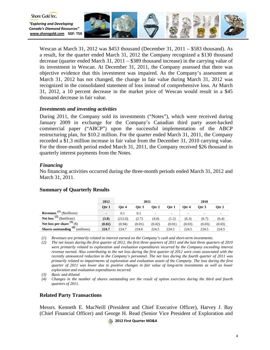

Wescan at March 31, 2012 was \$453 thousand (December 31, 2011 – \$583 thousand). As a result, for the quarter ended March 31, 2012 the Company recognized a \$130 thousand decrease (quarter ended March 31, 2011 – \$389 thousand increase) in the carrying value of its investment in Wescan. At December 31, 2011, the Company assessed that there was objective evidence that this investment was impaired. As the Company's assessment at March 31, 2012 has not changed, the change in fair value during March 31, 2012 was recognized in the consolidated statement of loss instead of comprehensive loss. At March 31, 2012, a 10 percent decrease in the market price of Wescan would result in a \$45 thousand decrease in fair value.

## *Investments and investing activities*

During 2011, the Company sold its investments ("Notes"), which were received during January 2009 in exchange for the Company's Canadian third party asset-backed commercial paper ("ABCP") upon the successful implementation of the ABCP restructuring plan, for \$10.2 million. For the quarter ended March 31, 2011, the Company recorded a \$1.3 million increase in fair value from the December 31, 2010 carrying value. For the three-month period ended March 31, 2011, the Company received \$26 thousand in quarterly interest payments from the Notes.

# *Financing*

Shore Gold Inc.

No financing activities occurred during the three-month periods ended March 31, 2012 and March 31, 2011.

|                                                  | 2012           |         | 2011   |          |        |                          | 2010    |        |
|--------------------------------------------------|----------------|---------|--------|----------|--------|--------------------------|---------|--------|
|                                                  | Otr 1          | Otr 4   | Otr 3  | $O$ tr 2 | Otr 1  | Otr 4                    | Otr $3$ | Otr 2  |
| <b>Revenues</b> <sup>(1)</sup> (\$millions)      | $\blacksquare$ | 0.1     | 0.1    | ۰        | -      | $\overline{\phantom{a}}$ | -       |        |
| <b>Net loss</b> $\overline{^{(2)}}$ (\$millions) | (3.8)          | (212.0) | (2.7)  | (4.0)    | (1.2)  | (6.3)                    | (6.7)   | (6.4)  |
| Net loss per share $(3)$ (\$)                    | (0.02)         | (0.94)  | (0.01) | (0.02)   | (0.01) | (0.03)                   | (0.03)  | (0.03) |
| <b>Shares outstanding</b> $(4)$ (millions)       | 224.7          | 224.7   | 224.6  | 224.5    | 224.5  | 224.5                    | 224.5   | 224.5  |

# **Summary of Quarterly Results**

*(1) Revenues are primarily related to interest earned on the Company's cash and short-term investments.* 

*(2) The net losses during the first quarter of 2012, the first three quarters of 2011 and the last three quarters of 2010 were primarily related to exploration and evaluation expenditures incurred by the Company exceeding interest revenue earned. Also contributing to the net loss during the first quarter of 2012 were costs associated with the recently announced reduction to the Company's personnel. The net loss during the fourth quarter of 2011 was primarily related to impairments of exploration and evaluation assets of the Company. The loss during the first quarter of 2011 was lower due to positive changes in fair value of long-term investments as well as lower exploration and evaluation expenditures incurred.* 

*(3) Basic and diluted.*

*(4) Changes in the number of shares outstanding are the result of option exercises during the third and fourth quarters of 2011.* 

## **Related Party Transactions**

Messrs. Kenneth E. MacNeill (President and Chief Executive Officer), Harvey J. Bay (Chief Financial Officer) and George H. Read (Senior Vice President of Exploration and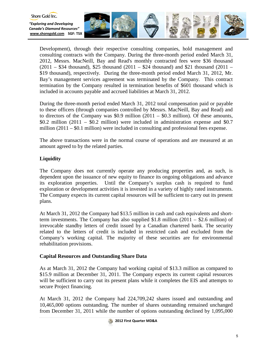

Development), through their respective consulting companies, hold management and consulting contracts with the Company. During the three-month period ended March 31, 2012, Messrs. MacNeill, Bay and Read's monthly contracted fees were \$36 thousand  $(2011 - $34$  thousand), \$25 thousand  $(2011 - $24$  thousand) and \$21 thousand  $(2011 - $34)$ \$19 thousand), respectively. During the three-month period ended March 31, 2012, Mr. Bay's management services agreement was terminated by the Company. This contract termination by the Company resulted in termination benefits of \$601 thousand which is included in accounts payable and accrued liabilities at March 31, 2012.

During the three-month period ended March 31, 2012 total compensation paid or payable to these officers (through companies controlled by Messrs. MacNeill, Bay and Read) and to directors of the Company was  $$0.9$  million  $(2011 - $0.3$  million). Of these amounts,  $$0.2$  million  $(2011 - $0.2$  million) were included in administration expense and  $$0.7$ million  $(2011 - $0.1$  million) were included in consulting and professional fees expense.

The above transactions were in the normal course of operations and are measured at an amount agreed to by the related parties.

# **Liquidity**

Shore Gold Inc.

The Company does not currently operate any producing properties and, as such, is dependent upon the issuance of new equity to finance its ongoing obligations and advance its exploration properties. Until the Company's surplus cash is required to fund exploration or development activities it is invested in a variety of highly rated instruments. The Company expects its current capital resources will be sufficient to carry out its present plans.

At March 31, 2012 the Company had \$13.5 million in cash and cash equivalents and shortterm investments. The Company has also supplied  $$1.8$  million (2011 – \$2.6 million) of irrevocable standby letters of credit issued by a Canadian chartered bank. The security related to the letters of credit is included in restricted cash and excluded from the Company's working capital. The majority of these securities are for environmental rehabilitation provisions.

# **Capital Resources and Outstanding Share Data**

As at March 31, 2012 the Company had working capital of \$13.3 million as compared to \$15.9 million at December 31, 2011. The Company expects its current capital resources will be sufficient to carry out its present plans while it completes the EIS and attempts to secure Project financing.

At March 31, 2012 the Company had 224,709,242 shares issued and outstanding and 10,465,000 options outstanding. The number of shares outstanding remained unchanged from December 31, 2011 while the number of options outstanding declined by 1,095,000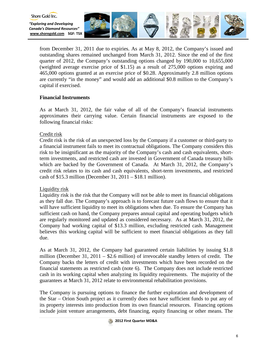

from December 31, 2011 due to expiries. As at May 8, 2012, the Company's issued and outstanding shares remained unchanged from March 31, 2012. Since the end of the first quarter of 2012, the Company's outstanding options changed by 190,000 to 10,655,000 (weighted average exercise price of \$1.15) as a result of 275,000 options expiring and 465,000 options granted at an exercise price of \$0.28. Approximately 2.8 million options are currently "in the money" and would add an additional \$0.8 million to the Company's capital if exercised.

# **Financial Instruments**

As at March 31, 2012, the fair value of all of the Company's financial instruments approximates their carrying value. Certain financial instruments are exposed to the following financial risks:

## Credit risk

Shore Gold Inc.

Credit risk is the risk of an unexpected loss by the Company if a customer or third-party to a financial instrument fails to meet its contractual obligations. The Company considers this risk to be insignificant as the majority of the Company's cash and cash equivalents, shortterm investments, and restricted cash are invested in Government of Canada treasury bills which are backed by the Government of Canada. At March 31, 2012, the Company's credit risk relates to its cash and cash equivalents, short-term investments, and restricted cash of \$15.3 million (December 31, 2011 – \$18.1 million).

## Liquidity risk

Liquidity risk is the risk that the Company will not be able to meet its financial obligations as they fall due. The Company's approach is to forecast future cash flows to ensure that it will have sufficient liquidity to meet its obligations when due. To ensure the Company has sufficient cash on hand, the Company prepares annual capital and operating budgets which are regularly monitored and updated as considered necessary. As at March 31, 2012, the Company had working capital of \$13.3 million, excluding restricted cash. Management believes this working capital will be sufficient to meet financial obligations as they fall due.

As at March 31, 2012, the Company had guaranteed certain liabilities by issuing \$1.8 million (December 31, 2011 – \$2.6 million) of irrevocable standby letters of credit. The Company backs the letters of credit with investments which have been recorded on the financial statements as restricted cash (note 6). The Company does not include restricted cash in its working capital when analyzing its liquidity requirements. The majority of the guarantees at March 31, 2012 relate to environmental rehabilitation provisions.

The Company is pursuing options to finance the further exploration and development of the Star – Orion South project as it currently does not have sufficient funds to put any of its property interests into production from its own financial resources. Financing options include joint venture arrangements, debt financing, equity financing or other means. The

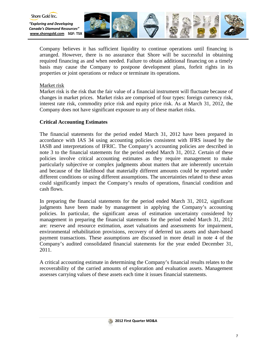

Company believes it has sufficient liquidity to continue operations until financing is arranged. However, there is no assurance that Shore will be successful in obtaining required financing as and when needed. Failure to obtain additional financing on a timely basis may cause the Company to postpone development plans, forfeit rights in its properties or joint operations or reduce or terminate its operations.

## Market risk

Market risk is the risk that the fair value of a financial instrument will fluctuate because of changes in market prices. Market risks are comprised of four types: foreign currency risk, interest rate risk, commodity price risk and equity price risk. As at March 31, 2012, the Company does not have significant exposure to any of these market risks.

# **Critical Accounting Estimates**

The financial statements for the period ended March 31, 2012 have been prepared in accordance with IAS 34 using accounting policies consistent with IFRS issued by the IASB and interpretations of IFRIC. The Company's accounting policies are described in note 3 to the financial statements for the period ended March 31, 2012. Certain of these policies involve critical accounting estimates as they require management to make particularly subjective or complex judgments about matters that are inherently uncertain and because of the likelihood that materially different amounts could be reported under different conditions or using different assumptions. The uncertainties related to these areas could significantly impact the Company's results of operations, financial condition and cash flows.

In preparing the financial statements for the period ended March 31, 2012, significant judgments have been made by management in applying the Company's accounting policies. In particular, the significant areas of estimation uncertainty considered by management in preparing the financial statements for the period ended March 31, 2012 are: reserve and resource estimation, asset valuations and assessments for impairment, environmental rehabilitation provisions, recovery of deferred tax assets and share-based payment transactions. These assumptions are discussed in more detail in note 4 of the Company's audited consolidated financial statements for the year ended December 31, 2011.

A critical accounting estimate in determining the Company's financial results relates to the recoverability of the carried amounts of exploration and evaluation assets. Management assesses carrying values of these assets each time it issues financial statements.

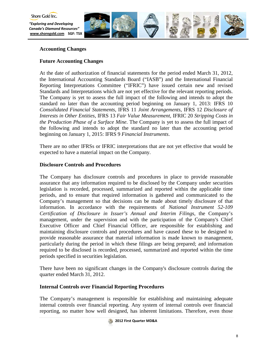

*"Exploring and Developing Canada's Diamond Resources"* **[www.shoregold.com](http://www.shoregold.comm/) SGF: TSX** 



# **Accounting Changes**

# **Future Accounting Changes**

At the date of authorization of financial statements for the period ended March 31, 2012, the International Accounting Standards Board ("IASB") and the International Financial Reporting Interpretations Committee ("IFRIC") have issued certain new and revised Standards and Interpretations which are not yet effective for the relevant reporting periods. The Company is yet to assess the full impact of the following and intends to adopt the standard no later than the accounting period beginning on January 1, 2013: IFRS 10 *Consolidated Financial Statements*, IFRS 11 *Joint Arrangements*, IFRS 12 *Disclosure of Interests in Other Entities*, IFRS 13 *Fair Value Measurement*, IFRIC 20 *Stripping Costs in the Production Phase of a Surface Mine*. The Company is yet to assess the full impact of the following and intends to adopt the standard no later than the accounting period beginning on January 1, 2015: IFRS 9 *Financial Instruments*.

There are no other IFRSs or IFRIC interpretations that are not yet effective that would be expected to have a material impact on the Company.

# **Disclosure Controls and Procedures**

The Company has disclosure controls and procedures in place to provide reasonable assurance that any information required to be disclosed by the Company under securities legislation is recorded, processed, summarized and reported within the applicable time periods, and to ensure that required information is gathered and communicated to the Company's management so that decisions can be made about timely disclosure of that information. In accordance with the requirements of *National Instrument 52-109 Certification of Disclosure in Issuer's Annual and Interim Filings*, the Company's management, under the supervision and with the participation of the Company's Chief Executive Officer and Chief Financial Officer, are responsible for establishing and maintaining disclosure controls and procedures and have caused these to be designed to provide reasonable assurance that material information is made known to management, particularly during the period in which these filings are being prepared; and information required to be disclosed is recorded, processed, summarized and reported within the time periods specified in securities legislation.

There have been no significant changes in the Company's disclosure controls during the quarter ended March 31, 2012.

# **Internal Controls over Financial Reporting Procedures**

The Company's management is responsible for establishing and maintaining adequate internal controls over financial reporting. Any system of internal controls over financial reporting, no matter how well designed, has inherent limitations. Therefore, even those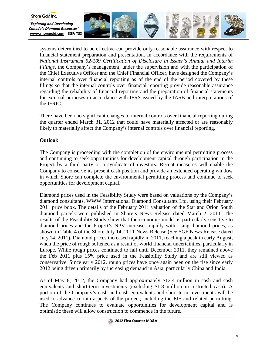

systems determined to be effective can provide only reasonable assurance with respect to financial statement preparation and presentation. In accordance with the requirements of *National Instrument 52-109 Certification of Disclosure in Issuer's Annual and Interim Filings*, the Company's management, under the supervision and with the participation of the Chief Executive Officer and the Chief Financial Officer, have designed the Company's internal controls over financial reporting as of the end of the period covered by these filings so that the internal controls over financial reporting provide reasonable assurance regarding the reliability of financial reporting and the preparation of financial statements for external purposes in accordance with IFRS issued by the IASB and interpretations of the IFRIC.

There have been no significant changes to internal controls over financial reporting during the quarter ended March 31, 2012 that could have materially affected or are reasonably likely to materially affect the Company's internal controls over financial reporting.

## **Outlook**

Shore Gold Inc.

The Company is proceeding with the completion of the environmental permitting process and continuing to seek opportunities for development capital through participation in the Project by a third party or a syndicate of investors. Recent measures will enable the Company to conserve its present cash position and provide an extended operating window in which Shore can complete the environmental permitting process and continue to seek opportunities for development capital.

Diamond prices used in the Feasibility Study were based on valuations by the Company's diamond consultants, WWW International Diamond Consultants Ltd. using their February 2011 price book. The details of the February 2011 valuation of the Star and Orion South diamond parcels were published in Shore's News Release dated March 2, 2011. The results of the Feasibility Study show that the economic model is particularly sensitive to diamond prices and the Project's NPV increases rapidly with rising diamond prices, as shown in Table 4 of the Shore July 14, 2011 News Release (See SGF News Release dated July 14, 2011). Diamond prices increased rapidly in 2011, reaching a peak in early August, when the price of rough softened as a result of world financial uncertainties, particularly in Europe. While rough prices continued to fall until December 2011, they remained above the Feb 2011 plus 15% price used in the Feasibility Study and are still viewed as conservative. Since early 2012, rough prices have once again been on the rise since early 2012 being driven primarily by increasing demand in Asia, particularly China and India.

As of May 8, 2012, the Company had approximately \$12.4 million in cash and cash equivalents and short-term investments (excluding \$1.8 million in restricted cash). A portion of the Company's cash and cash equivalents and short-term investments will be used to advance certain aspects of the project, including the EIS and related permitting. The Company continues to evaluate opportunities for development capital and is optimistic these will allow construction to commence in the future.

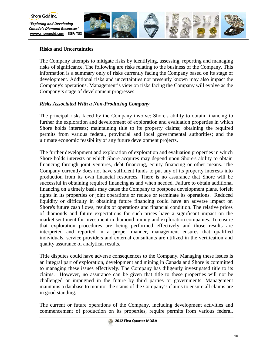

# **Risks and Uncertainties**

The Company attempts to mitigate risks by identifying, assessing, reporting and managing risks of significance. The following are risks relating to the business of the Company. This information is a summary only of risks currently facing the Company based on its stage of development. Additional risks and uncertainties not presently known may also impact the Company's operations. Management's view on risks facing the Company will evolve as the Company's stage of development progresses.

## *Risks Associated With a Non-Producing Company*

The principal risks faced by the Company involve: Shore's ability to obtain financing to further the exploration and development of exploration and evaluation properties in which Shore holds interests; maintaining title to its property claims; obtaining the required permits from various federal, provincial and local governmental authorities; and the ultimate economic feasibility of any future development projects.

The further development and exploration of exploration and evaluation properties in which Shore holds interests or which Shore acquires may depend upon Shore's ability to obtain financing through joint ventures, debt financing, equity financing or other means. The Company currently does not have sufficient funds to put any of its property interests into production from its own financial resources. There is no assurance that Shore will be successful in obtaining required financing as and when needed. Failure to obtain additional financing on a timely basis may cause the Company to postpone development plans, forfeit rights in its properties or joint operations or reduce or terminate its operations. Reduced liquidity or difficulty in obtaining future financing could have an adverse impact on Shore's future cash flows, results of operations and financial condition. The relative prices of diamonds and future expectations for such prices have a significant impact on the market sentiment for investment in diamond mining and exploration companies. To ensure that exploration procedures are being performed effectively and those results are interpreted and reported in a proper manner, management ensures that qualified individuals, service providers and external consultants are utilized in the verification and quality assurance of analytical results.

Title disputes could have adverse consequences to the Company. Managing these issues is an integral part of exploration, development and mining in Canada and Shore is committed to managing these issues effectively. The Company has diligently investigated title to its claims. However, no assurance can be given that title to these properties will not be challenged or impugned in the future by third parties or governments. Management maintains a database to monitor the status of the Company's claims to ensure all claims are in good standing.

The current or future operations of the Company, including development activities and commencement of production on its properties, require permits from various federal,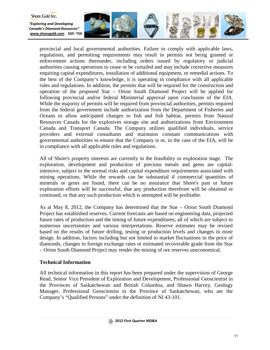

provincial and local governmental authorities. Failure to comply with applicable laws, regulations, and permitting requirements may result in permits not being granted or enforcement actions thereunder, including orders issued by regulatory or judicial authorities causing operations to cease or be curtailed and may include corrective measures requiring capital expenditures, installation of additional equipment, or remedial actions. To the best of the Company's knowledge, it is operating in compliance with all applicable rules and regulations. In addition, the permits that will be required for the construction and operation of the proposed Star – Orion South Diamond Project will be applied for following provincial and/or federal Ministerial approval upon conclusion of the EIA. While the majority of permits will be required from provincial authorities, permits required from the federal government include authorization from the Department of Fisheries and Oceans to allow anticipated changes to fish and fish habitat, permits from Natural Resources Canada for the explosives storage site and authorizations from Environment Canada and Transport Canada. The Company utilizes qualified individuals, service providers and external consultants and maintains constant communications with governmental authorities to ensure that the Company is or, in the case of the EIA, will be in compliance with all applicable rules and regulations.

All of Shore's property interests are currently in the feasibility or exploration stage. The exploration, development and production of precious metals and gems are capitalintensive, subject to the normal risks and capital expenditure requirements associated with mining operations. While the rewards can be substantial if commercial quantities of minerals or gems are found, there can be no assurance that Shore's past or future exploration efforts will be successful, that any production therefrom will be obtained or continued, or that any such production which is attempted will be profitable.

As at May 8, 2012, the Company has determined that the Star – Orion South Diamond Project has established reserves. Current forecasts are based on engineering data, projected future rates of production and the timing of future expenditures, all of which are subject to numerous uncertainties and various interpretations. Reserve estimates may be revised based on the results of future drilling, testing or production levels and changes in mine design. In addition, factors including but not limited to market fluctuations in the price of diamonds, changes in foreign exchange rates or estimated recoverable grade from the Star – Orion South Diamond Project may render the mining of ore reserves uneconomical.

# **Technical Information**

All technical information in this report has been prepared under the supervision of George Read, Senior Vice President of Exploration and Development, Professional Geoscientist in the Provinces of Saskatchewan and British Columbia, and Shawn Harvey, Geology Manager, Professional Geoscientist in the Province of Saskatchewan, who are the Company's "Qualified Persons" under the definition of NI 43-101.

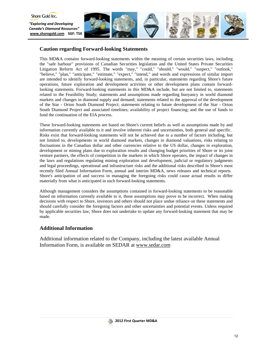

## **Caution regarding Forward-looking Statements**

This MD&A contains forward-looking statements within the meaning of certain securities laws, including the "safe harbour" provisions of Canadian Securities legislation and the United States Private Securities Litigation Reform Act of 1995. The words "may," "could," "should," "would," "suspect," "outlook," "believe," "plan," "anticipate," "estimate," "expect," "intend," and words and expressions of similar import are intended to identify forward-looking statements, and, in particular, statements regarding Shore's future operations, future exploration and development activities or other development plans contain forwardlooking statements. Forward-looking statements in this MD&A include, but are not limited to, statements related to the Feasibility Study; statements and assumptions made regarding buoyancy in world diamond markets and changes in diamond supply and demand; statements related to the approval of the development of the Star - Orion South Diamond Project; statements relating to future development of the Star - Orion South Diamond Project and associated timelines; availability of project financing; and the use of funds to fund the continuation of the EIA process.

These forward-looking statements are based on Shore's current beliefs as well as assumptions made by and information currently available to it and involve inherent risks and uncertainties, both general and specific. Risks exist that forward-looking statements will not be achieved due to a number of factors including, but not limited to, developments in world diamond markets, changes in diamond valuations, risks relating to fluctuations in the Canadian dollar and other currencies relative to the US dollar, changes in exploration, development or mining plans due to exploration results and changing budget priorities of Shore or its joint venture partners, the effects of competition in the markets in which Shore operates, the impact of changes in the laws and regulations regulating mining exploration and development, judicial or regulatory judgments and legal proceedings, operational and infrastructure risks and the additional risks described in Shore's most recently filed Annual Information Form, annual and interim MD&A, news releases and technical reports. Shore's anticipation of and success in managing the foregoing risks could cause actual results to differ materially from what is anticipated in such forward-looking statements.

Although management considers the assumptions contained in forward-looking statements to be reasonable based on information currently available to it, those assumptions may prove to be incorrect. When making decisions with respect to Shore, investors and others should not place undue reliance on these statements and should carefully consider the foregoing factors and other uncertainties and potential events. Unless required by applicable securities law, Shore does not undertake to update any forward-looking statement that may be made.

## **Additional Information**

Additional information related to the Company, including the latest available Annual Information Form, is available on SEDAR at www.sedar.com

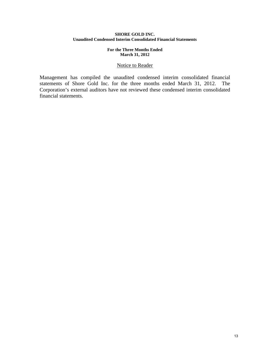## **SHORE GOLD INC. Unaudited Condensed Interim Consolidated Financial Statements**

## **For the Three Months Ended March 31, 2012**

## Notice to Reader

Management has compiled the unaudited condensed interim consolidated financial statements of Shore Gold Inc. for the three months ended March 31, 2012. The Corporation's external auditors have not reviewed these condensed interim consolidated financial statements.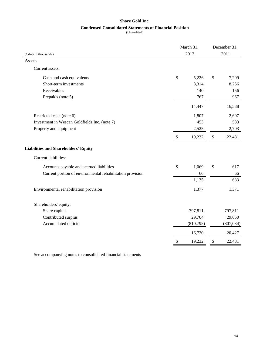## **Shore Gold Inc.**

## **Condensed Consolidated Statements of Financial Position**

(Unaudited)

|                                                           |      | March 31, | December 31, |            |  |
|-----------------------------------------------------------|------|-----------|--------------|------------|--|
| (Cdn\$ in thousands)                                      | 2012 |           |              | 2011       |  |
| <b>Assets</b>                                             |      |           |              |            |  |
| Current assets:                                           |      |           |              |            |  |
| Cash and cash equivalents                                 | \$   | 5,226     | \$           | 7,209      |  |
| Short-term investments                                    |      | 8,314     |              | 8,256      |  |
| Receivables                                               |      | 140       |              | 156        |  |
| Prepaids (note 5)                                         |      | 767       |              | 967        |  |
|                                                           |      | 14,447    |              | 16,588     |  |
| Restricted cash (note 6)                                  |      | 1,807     |              | 2,607      |  |
| Investment in Wescan Goldfields Inc. (note 7)             |      | 453       |              | 583        |  |
| Property and equipment                                    |      | 2,525     |              | 2,703      |  |
|                                                           | \$   | 19,232    | \$           | 22,481     |  |
| <b>Liabilities and Shareholders' Equity</b>               |      |           |              |            |  |
| Current liabilities:                                      |      |           |              |            |  |
| Accounts payable and accrued liabilities                  | \$   | 1,069     | \$           | 617        |  |
| Current portion of environmental rehabilitation provision |      | 66        |              | 66         |  |
|                                                           |      | 1,135     |              | 683        |  |
| Environmental rehabilitation provision                    |      | 1,377     |              | 1,371      |  |
| Shareholders' equity:                                     |      |           |              |            |  |
| Share capital                                             |      | 797,811   |              | 797,811    |  |
| Contributed surplus                                       |      | 29,704    |              | 29,650     |  |
| Accumulated deficit                                       |      | (810,795) |              | (807, 034) |  |
|                                                           |      | 16,720    |              | 20,427     |  |
|                                                           | \$   | 19,232    | \$           | 22,481     |  |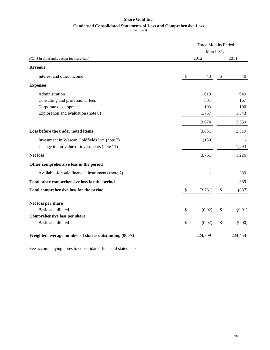# **Condensed Consolidated Statements of Loss and Comprehensive Loss Shore Gold Inc.**

(unaudited)

|                                                       | <b>Three Months Ended</b> |           |    |         |
|-------------------------------------------------------|---------------------------|-----------|----|---------|
|                                                       |                           | March 31, |    |         |
| (Cdn\$ in thousands, except for share data)           |                           | 2012      |    | 2011    |
| <b>Revenue</b>                                        |                           |           |    |         |
| Interest and other income                             | \$                        | 43        | \$ | 40      |
| <b>Expenses</b>                                       |                           |           |    |         |
| Administration                                        |                           | 1,013     |    | 949     |
| Consulting and professional fees                      |                           | 801       |    | 167     |
| Corporate development                                 |                           | 103       |    | 100     |
| Exploration and evaluation (note 8)                   |                           | 1,757     |    | 1,343   |
|                                                       |                           | 3,674     |    | 2,559   |
| Loss before the under noted items                     |                           | (3,631)   |    | (2,519) |
| Investment in Wescan Goldfields Inc. (note 7)         |                           | (130)     |    |         |
| Change in fair value of investments (note 11)         |                           |           |    | 1,293   |
| <b>Net loss</b>                                       |                           | (3,761)   |    | (1,226) |
| Other comprehensive loss in the period                |                           |           |    |         |
| Available-for-sale financial instruments (note 7)     |                           |           |    | 389     |
| Total other comprehensive loss for the period         |                           |           |    | 389     |
| Total comprehensive loss for the period               | P.                        | (3,761)   | \$ | (837)   |
|                                                       |                           |           |    |         |
| Net loss per share                                    |                           |           |    |         |
| Basic and diluted                                     | \$                        | (0.02)    | \$ | (0.01)  |
| Comprehensive loss per share                          |                           |           |    |         |
| Basic and diluted                                     | \$                        | (0.02)    | \$ | (0.00)  |
| Weighted average number of shares outstanding (000's) |                           | 224,709   |    | 224,454 |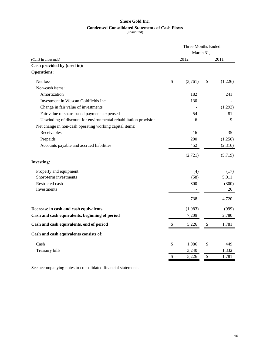## **Shore Gold Inc.**

## **Condensed Consolidated Statements of Cash Flows**

(unaudited)

|                                                                  | <b>Three Months Ended</b> |           |    |         |  |
|------------------------------------------------------------------|---------------------------|-----------|----|---------|--|
|                                                                  |                           | March 31, |    |         |  |
| (Cdn\$ in thousands)                                             |                           | 2012      |    | 2011    |  |
| Cash provided by (used in):                                      |                           |           |    |         |  |
| <b>Operations:</b>                                               |                           |           |    |         |  |
| Net loss                                                         | \$                        | (3,761)   | \$ | (1,226) |  |
| Non-cash items:                                                  |                           |           |    |         |  |
| Amortization                                                     |                           | 182       |    | 241     |  |
| Investment in Wescan Goldfields Inc.                             |                           | 130       |    |         |  |
| Change in fair value of investments                              |                           |           |    | (1,293) |  |
| Fair value of share-based payments expensed                      |                           | 54        |    | 81      |  |
| Unwinding of discount for environmental rehabilitation provision |                           | 6         |    | 9       |  |
| Net change in non-cash operating working capital items:          |                           |           |    |         |  |
| Receivables                                                      |                           | 16        |    | 35      |  |
| Prepaids                                                         |                           | 200       |    | (1,250) |  |
| Accounts payable and accrued liabilities                         |                           | 452       |    | (2,316) |  |
|                                                                  |                           | (2,721)   |    | (5,719) |  |
| <b>Investing:</b>                                                |                           |           |    |         |  |
| Property and equipment                                           |                           | (4)       |    | (17)    |  |
| Short-term investments                                           |                           | (58)      |    | 5,011   |  |
| Restricted cash                                                  |                           | 800       |    | (300)   |  |
| Investments                                                      |                           |           |    | 26      |  |
|                                                                  |                           | 738       |    | 4,720   |  |
| Decrease in cash and cash equivalents                            |                           | (1,983)   |    | (999)   |  |
| Cash and cash equivalents, beginning of period                   |                           | 7,209     |    | 2,780   |  |
| Cash and cash equivalents, end of period                         | $\boldsymbol{\mathsf{S}}$ | 5,226     | \$ | 1,781   |  |
| Cash and cash equivalents consists of:                           |                           |           |    |         |  |
| Cash                                                             | \$                        | 1,986     | \$ | 449     |  |
| Treasury bills                                                   |                           | 3,240     |    | 1,332   |  |
|                                                                  | \$                        | 5,226     | \$ | 1,781   |  |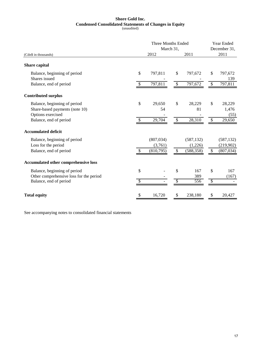# **Shore Gold Inc. Condensed Consolidated Statements of Changes in Equity**

(unaudited)

|                                                                                                   |     | Three Months Ended<br>March 31,    |               | Year Ended<br>December 31,          |              |                                       |
|---------------------------------------------------------------------------------------------------|-----|------------------------------------|---------------|-------------------------------------|--------------|---------------------------------------|
| (Cdn\$ in thousands)                                                                              |     | 2012                               |               | 2011                                |              | 2011                                  |
| Share capital                                                                                     |     |                                    |               |                                     |              |                                       |
| Balance, beginning of period<br>Shares issued                                                     | \$  | 797,811                            | \$            | 797,672                             | \$           | 797,672<br>139                        |
| Balance, end of period                                                                            | \$  | 797,811                            | $\mathbb{S}$  | 797,672                             | \$           | 797,811                               |
| <b>Contributed surplus</b>                                                                        |     |                                    |               |                                     |              |                                       |
| Balance, beginning of period<br>Share-based payments (note 10)<br>Options exercised               | \$  | 29,650<br>54                       | \$            | 28,229<br>81                        | $\mathbb{S}$ | 28,229<br>1,476<br>(55)               |
| Balance, end of period                                                                            | \$  | 29,704                             | $\$$          | 28,310                              | $\$$         | 29,650                                |
| <b>Accumulated deficit</b>                                                                        |     |                                    |               |                                     |              |                                       |
| Balance, beginning of period<br>Loss for the period<br>Balance, end of period                     | \$. | (807, 034)<br>(3,761)<br>(810,795) | $\mathcal{S}$ | (587, 132)<br>(1,226)<br>(588, 358) | \$           | (587, 132)<br>(219,902)<br>(807, 034) |
| Accumulated other comprehensive loss                                                              |     |                                    |               |                                     |              |                                       |
| Balance, beginning of period<br>Other comprehensive loss for the period<br>Balance, end of period | \$  |                                    | \$<br>\$      | 167<br>389<br>556                   | \$<br>\$     | 167<br>(167)                          |
| <b>Total equity</b>                                                                               | \$  | 16,720                             | \$            | 238,180                             | \$           | 20,427                                |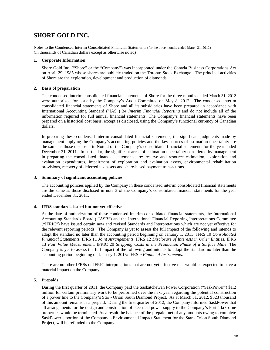# **SHORE GOLD INC.**

Notes to the Condensed Interim Consolidated Financial Statements (for the three months ended March 31, 2012) (In thousands of Canadian dollars except as otherwise noted)

## **1. Corporate Information**

Shore Gold Inc. ("Shore" or the "Company") was incorporated under the Canada Business Corporations Act on April 29, 1985 whose shares are publicly traded on the Toronto Stock Exchange. The principal activities of Shore are the exploration, development and production of diamonds.

## **2. Basis of preparation**

The condensed interim consolidated financial statements of Shore for the three months ended March 31, 2012 were authorized for issue by the Company's Audit Committee on May 8, 2012. The condensed interim consolidated financial statements of Shore and all its subsidiaries have been prepared in accordance with International Accounting Standard ("IAS") 34 *Interim Financial Reporting* and do not include all of the information required for full annual financial statements. The Company's financial statements have been prepared on a historical cost basis, except as disclosed, using the Company's functional currency of Canadian dollars.

In preparing these condensed interim consolidated financial statements, the significant judgments made by management applying the Company's accounting policies and the key sources of estimation uncertainty are the same as those disclosed in Note 4 of the Company's consolidated financial statements for the year ended December 31, 2011. In particular, the significant areas of estimation uncertainty considered by management in preparing the consolidated financial statements are: reserve and resource estimation, exploration and evaluation expenditures, impairment of exploration and evaluation assets, environmental rehabilitation provisions, recovery of deferred tax assets and share-based payment transactions.

## **3. Summary of significant accounting policies**

The accounting policies applied by the Company in these condensed interim consolidated financial statements are the same as those disclosed in note 3 of the Company's consolidated financial statements for the year ended December 31, 2011.

## **4. IFRS standards issued but not yet effective**

At the date of authorization of these condensed interim consolidated financial statements, the International Accounting Standards Board ("IASB") and the International Financial Reporting Interpretations Committee ("IFRIC") have issued certain new and revised Standards and Interpretations which are not yet effective for the relevant reporting periods. The Company is yet to assess the full impact of the following and intends to adopt the standard no later than the accounting period beginning on January 1, 2013: IFRS 10 *Consolidated Financial Statements*, IFRS 11 *Joint Arrangements*, IFRS 12 *Disclosure of Interests in Other Entities*, IFRS 13 *Fair Value Measurement*, IFRIC 20 *Stripping Costs in the Production Phase of a Surface Mine*. The Company is yet to assess the full impact of the following and intends to adopt the standard no later than the accounting period beginning on January 1, 2015: IFRS 9 *Financial Instruments*.

There are no other IFRSs or IFRIC interpretations that are not yet effective that would be expected to have a material impact on the Company.

## **5. Prepaids**

During the first quarter of 2011, the Company paid the Saskatchewan Power Corporation ("SaskPower") \$1.2 million for certain preliminary work to be performed over the next year regarding the potential construction of a power line to the Company's Star - Orion South Diamond Project. As at March 31, 2012, \$523 thousand of this amount remains as a prepaid. During the first quarter of 2012, the Company informed SaskPower that all arrangements for the design and construction of electrical power supply to the Company's Fort à la Corne properties would be terminated. As a result the balance of the prepaid, net of any amounts owing to complete SaskPower's portion of the Company's Environmental Impact Statement for the Star - Orion South Diamond Project, will be refunded to the Company.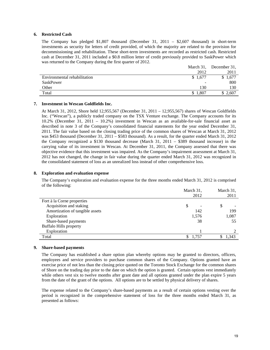## **6. Restricted Cash**

The Company has pledged \$1,807 thousand (December 31, 2011 – \$2,607 thousand) in short-term investments as security for letters of credit provided, of which the majority are related to the provision for decommissioning and rehabilitation. These short-term investments are recorded as restricted cash. Restricted cash at December 31, 2011 included a \$0.8 million letter of credit previously provided to SaskPower which was returned to the Company during the first quarter of 2012.

|                              | March 31, | December 31, |
|------------------------------|-----------|--------------|
|                              | 2012      | 2011         |
| Environmental rehabilitation | \$1,677   | 1,677        |
| SaskPower                    | -         | 800          |
| Other                        | 130       | 130          |
| Total                        | 1,807     | $\angle 607$ |

#### **7. Investment in Wescan Goldfields Inc.**

At March 31, 2012, Shore held 12,955,567 (December 31, 2011 – 12,955,567) shares of Wescan Goldfields Inc. ("Wescan"), a publicly traded company on the TSX Venture exchange. The Company accounts for its 10.2% (December 31, 2011 – 10.2%) investment in Wescan as an available-for-sale financial asset as described in note 3 of the Company's consolidated financial statements for the year ended December 31, 2011. The fair value based on the closing trading price of the common shares of Wescan at March 31, 2012 was \$453 thousand (December 31, 2011 – \$583 thousand). As a result, for the quarter ended March 31, 2012 the Company recognized a \$130 thousand decrease (March 31, 2011 – \$389 thousand increase) in the carrying value of its investment in Wescan. At December 31, 2011, the Company assessed that there was objective evidence that this investment was impaired. As the Company's impairment assessment at March 31, 2012 has not changed, the change in fair value during the quarter ended March 31, 2012 was recognized in the consolidated statement of loss as an unrealized loss instead of other comprehensive loss.

## **8. Exploration and evaluation expense**

The Company's exploration and evaluation expense for the three months ended March 31, 2012 is comprised of the following:

|                                 | March 31, | March 31,  |  |  |
|---------------------------------|-----------|------------|--|--|
|                                 | 2012      | 2011       |  |  |
| Fort à la Corne properties      |           |            |  |  |
| Acquisition and staking         | \$        | \$         |  |  |
| Amortization of tangible assets | 142       | 199        |  |  |
| Exploration                     | 1,576     | 1,087      |  |  |
| Share-based payments            | 38        | 55         |  |  |
| <b>Buffalo Hills property</b>   |           |            |  |  |
| Exploration                     |           | 2          |  |  |
| Total                           | 1,757     | 1,343<br>Ф |  |  |
|                                 |           |            |  |  |

### **9. Share-based payments**

The Company has established a share option plan whereby options may be granted to directors, officers, employees and service providers to purchase common shares of the Company. Options granted have an exercise price of not less than the closing price quoted on the Toronto Stock Exchange for the common shares of Shore on the trading day prior to the date on which the option is granted. Certain options vest immediately while others vest six to twelve months after grant date and all options granted under the plan expire 5 years from the date of the grant of the options. All options are to be settled by physical delivery of shares.

The expense related to the Company's share-based payments as a result of certain options vesting over the period is recognized in the comprehensive statement of loss for the three months ended March 31, as presented as follows: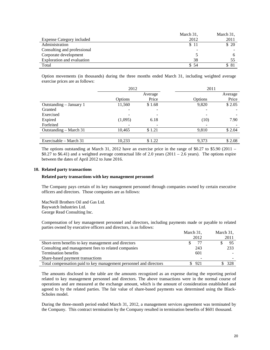|                                  | March 31, | March 31, |
|----------------------------------|-----------|-----------|
| <b>Expense Category included</b> | 2012      | 2011      |
| Administration                   | \$11      | \$20      |
| Consulting and professional      | ۰         |           |
| Corporate development            |           | n         |
| Exploration and evaluation       | 38        |           |
| Total                            | \$54      | \$81      |

Option movements (in thousands) during the three months ended March 31, including weighted average exercise prices are as follows:

|                         | 2012    |         | 2011    |         |
|-------------------------|---------|---------|---------|---------|
|                         |         | Average |         | Average |
|                         | Options | Price   | Options | Price   |
| Outstanding - January 1 | 11,560  | \$1.68  | 9,820   | \$2.05  |
| Granted                 |         |         |         |         |
| Exercised               |         |         |         |         |
| Expired                 | (1,095) | 6.18    | (10)    | 7.90    |
| Forfeited               |         |         | -       |         |
| Outstanding – March 31  | 10,465  | \$1.21  | 9,810   | \$2.04  |
|                         |         |         |         |         |
| Exercisable – March 31  | 10.233  | \$1.22  | 9,373   | \$2.08  |

The options outstanding at March 31, 2012 have an exercise price in the range of \$0.27 to \$5.90 (2011 – \$0.27 to \$6.41) and a weighted average contractual life of 2.0 years (2011 – 2.6 years). The options expire between the dates of April 2012 to June 2016.

#### **10. Related party transactions**

#### **Related party transactions with key management personnel**

The Company pays certain of its key management personnel through companies owned by certain executive officers and directors. Those companies are as follows:

MacNeill Brothers Oil and Gas Ltd. Baywatch Industries Ltd. George Read Consulting Inc.

Compensation of key management personnel and directors, including payments made or payable to related parties owned by executive officers and directors, is as follows:

|                                                                   | March 31, |       | March 31, |      |
|-------------------------------------------------------------------|-----------|-------|-----------|------|
|                                                                   |           | 2012  |           | 2011 |
| Short-term benefits to key management and directors               |           |       |           | 95   |
| Consulting and management fees to related companies               |           | 243   |           | 233  |
| <b>Termination benefits</b>                                       |           | 601   |           |      |
| Share-based payment transactions                                  |           |       |           |      |
| Total compensation paid to key management personnel and directors |           | \$921 |           | 328  |
|                                                                   |           |       |           |      |

The amounts disclosed in the table are the amounts recognized as an expense during the reporting period related to key management personnel and directors. The above transactions were in the normal course of operations and are measured at the exchange amount, which is the amount of consideration established and agreed to by the related parties. The fair value of share-based payments was determined using the Black-Scholes model.

During the three-month period ended March 31, 2012, a management services agreement was terminated by the Company. This contract termination by the Company resulted in termination benefits of \$601 thousand.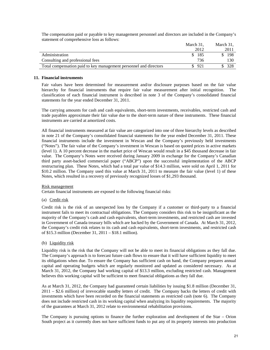The compensation paid or payable to key management personnel and directors are included in the Company's statement of comprehensive loss as follows:

|                                                                   | March 31. | March 31. |
|-------------------------------------------------------------------|-----------|-----------|
|                                                                   | 2012      | 2011      |
| Administration                                                    | 185       | 198       |
| Consulting and professional fees                                  | 736       | 130.      |
| Total compensation paid to key management personnel and directors | 921       |           |

## **11. Financial instruments**

Fair values have been determined for measurement and/or disclosure purposes based on the fair value hierarchy for financial instruments that require fair value measurement after initial recognition. The classification of each financial instrument is described in note 3 of the Company's consolidated financial statements for the year ended December 31, 2011.

The carrying amounts for cash and cash equivalents, short-term investments, receivables, restricted cash and trade payables approximate their fair value due to the short-term nature of these instruments. These financial instruments are carried at amortized costs.

All financial instruments measured at fair value are categorized into one of three hierarchy levels as described in note 21 of the Company's consolidated financial statements for the year ended December 31, 2011. These financial instruments include the investment in Wescan and the Company's previously held investments ("Notes"). The fair value of the Company's investment in Wescan is based on quoted prices in active markets (level 1). A 10 percent decrease in the market price of Wescan would result in a \$45 thousand decrease in fair value. The Company's Notes were received during January 2009 in exchange for the Company's Canadian third party asset-backed commercial paper ("ABCP") upon the successful implementation of the ABCP restructuring plan. These Notes, which had a total par value of \$14.3 million, were sold on April 1, 2011 for \$10.2 million. The Company used this value at March 31, 2011 to measure the fair value (level 1) of these Notes, which resulted in a recovery of previously recognized losses of \$1,293 thousand.

#### Risk management

Certain financial instruments are exposed to the following financial risks:

(a) Credit risk

Credit risk is the risk of an unexpected loss by the Company if a customer or third-party to a financial instrument fails to meet its contractual obligations. The Company considers this risk to be insignificant as the majority of the Company's cash and cash equivalents, short-term investments, and restricted cash are invested in Government of Canada treasury bills which are backed by the Government of Canada. At March 31, 2012, the Company's credit risk relates to its cash and cash equivalents, short-term investments, and restricted cash of \$15.3 million (December 31, 2011 – \$18.1 million).

#### (b) Liquidity risk

Liquidity risk is the risk that the Company will not be able to meet its financial obligations as they fall due. The Company's approach is to forecast future cash flows to ensure that it will have sufficient liquidity to meet its obligations when due. To ensure the Company has sufficient cash on hand, the Company prepares annual capital and operating budgets which are regularly monitored and updated as considered necessary. As at March 31, 2012, the Company had working capital of \$13.3 million, excluding restricted cash. Management believes this working capital will be sufficient to meet financial obligations as they fall due.

As at March 31, 2012, the Company had guaranteed certain liabilities by issuing \$1.8 million (December 31, 2011 – \$2.6 million) of irrevocable standby letters of credit. The Company backs the letters of credit with investments which have been recorded on the financial statements as restricted cash (note 6). The Company does not include restricted cash in its working capital when analyzing its liquidity requirements. The majority of the guarantees at March 31, 2012 relate to environmental rehabilitation provisions.

The Company is pursuing options to finance the further exploration and development of the Star – Orion South project as it currently does not have sufficient funds to put any of its property interests into production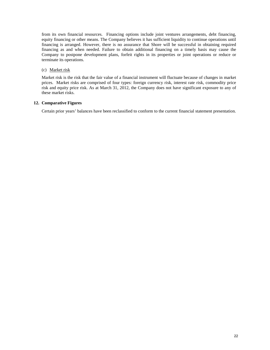from its own financial resources. Financing options include joint ventures arrangements, debt financing, equity financing or other means. The Company believes it has sufficient liquidity to continue operations until financing is arranged. However, there is no assurance that Shore will be successful in obtaining required financing as and when needed. Failure to obtain additional financing on a timely basis may cause the Company to postpone development plans, forfeit rights in its properties or joint operations or reduce or terminate its operations.

## (c) Market risk

Market risk is the risk that the fair value of a financial instrument will fluctuate because of changes in market prices. Market risks are comprised of four types: foreign currency risk, interest rate risk, commodity price risk and equity price risk. As at March 31, 2012, the Company does not have significant exposure to any of these market risks.

## **12. Comparative Figures**

Certain prior years' balances have been reclassified to conform to the current financial statement presentation.